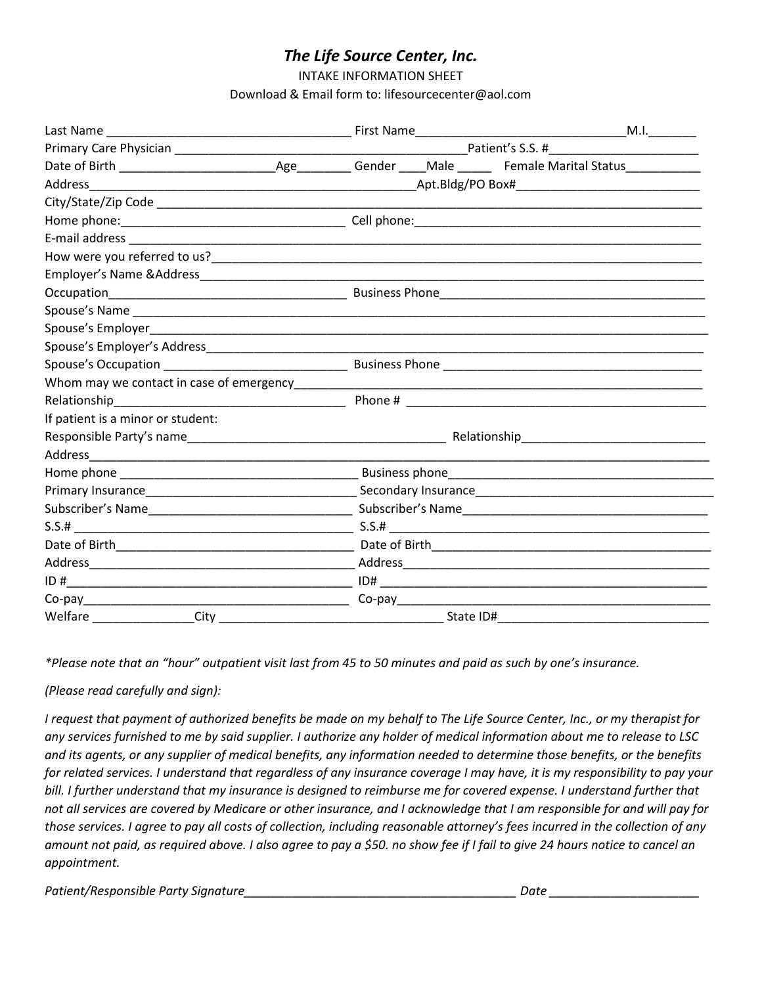## *The Life Source Center, Inc.*

INTAKE INFORMATION SHEET

Download & Email form to: lifesourcecenter@aol.com

|                                                                                                                 |  |           |  | M.I. |
|-----------------------------------------------------------------------------------------------------------------|--|-----------|--|------|
|                                                                                                                 |  |           |  |      |
|                                                                                                                 |  |           |  |      |
|                                                                                                                 |  |           |  |      |
|                                                                                                                 |  |           |  |      |
|                                                                                                                 |  |           |  |      |
|                                                                                                                 |  |           |  |      |
|                                                                                                                 |  |           |  |      |
|                                                                                                                 |  |           |  |      |
|                                                                                                                 |  |           |  |      |
|                                                                                                                 |  |           |  |      |
|                                                                                                                 |  |           |  |      |
|                                                                                                                 |  |           |  |      |
|                                                                                                                 |  |           |  |      |
|                                                                                                                 |  |           |  |      |
|                                                                                                                 |  |           |  |      |
| If patient is a minor or student:                                                                               |  |           |  |      |
|                                                                                                                 |  |           |  |      |
|                                                                                                                 |  |           |  |      |
|                                                                                                                 |  |           |  |      |
|                                                                                                                 |  |           |  |      |
|                                                                                                                 |  |           |  |      |
|                                                                                                                 |  |           |  |      |
|                                                                                                                 |  |           |  |      |
|                                                                                                                 |  |           |  |      |
|                                                                                                                 |  |           |  |      |
| Co-pay Co-pay Co-pay Co-pay Co-pay Co-pay Co-pay Co-pay Co-pay Co-pay Co-pay Co-pay Co-pay Co-pay Co-pay Co-pay |  |           |  |      |
|                                                                                                                 |  | State ID# |  |      |

*\*Please note that an "hour" outpatient visit last from 45 to 50 minutes and paid as such by one's insurance.*

*(Please read carefully and sign):*

*I request that payment of authorized benefits be made on my behalf to The Life Source Center, Inc., or my therapist for any services furnished to me by said supplier. I authorize any holder of medical information about me to release to LSC and its agents, or any supplier of medical benefits, any information needed to determine those benefits, or the benefits for related services. I understand that regardless of any insurance coverage I may have, it is my responsibility to pay your bill. I further understand that my insurance is designed to reimburse me for covered expense. I understand further that not all services are covered by Medicare or other insurance, and I acknowledge that I am responsible for and will pay for those services. I agree to pay all costs of collection, including reasonable attorney's fees incurred in the collection of any amount not paid, as required above. I also agree to pay a \$50. no show fee if I fail to give 24 hours notice to cancel an appointment.* 

*Patient/Responsible Party Signature\_\_\_\_\_\_\_\_\_\_\_\_\_\_\_\_\_\_\_\_\_\_\_\_\_\_\_\_\_\_\_\_\_\_\_\_\_\_\_\_ Date \_\_\_\_\_\_\_\_\_\_\_\_\_\_\_\_\_\_\_\_\_\_*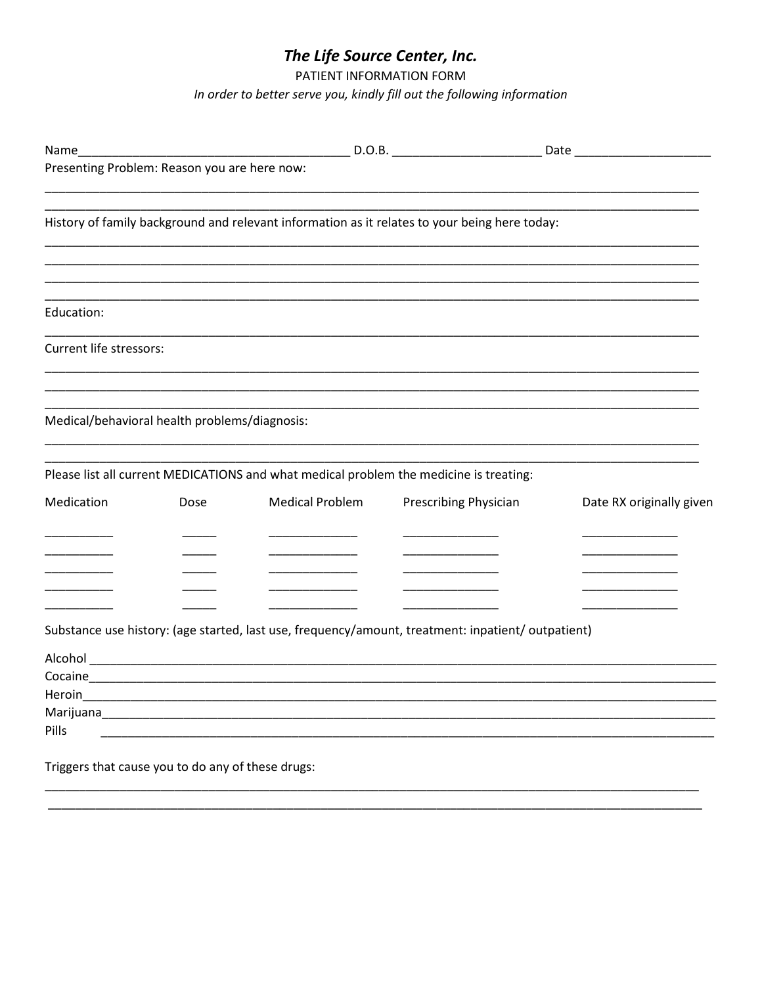## The Life Source Center, Inc.

PATIENT INFORMATION FORM

In order to better serve you, kindly fill out the following information

| Name                                              |      |                                                             |                                                                                                    |                          |  |
|---------------------------------------------------|------|-------------------------------------------------------------|----------------------------------------------------------------------------------------------------|--------------------------|--|
| Presenting Problem: Reason you are here now:      |      |                                                             |                                                                                                    |                          |  |
|                                                   |      |                                                             | History of family background and relevant information as it relates to your being here today:      |                          |  |
| Education:                                        |      |                                                             |                                                                                                    |                          |  |
| Current life stressors:                           |      |                                                             |                                                                                                    |                          |  |
| Medical/behavioral health problems/diagnosis:     |      |                                                             |                                                                                                    |                          |  |
|                                                   |      |                                                             | Please list all current MEDICATIONS and what medical problem the medicine is treating:             |                          |  |
| Medication                                        | Dose | <b>Medical Problem</b>                                      | Prescribing Physician                                                                              | Date RX originally given |  |
|                                                   |      |                                                             |                                                                                                    |                          |  |
|                                                   |      |                                                             | Substance use history: (age started, last use, frequency/amount, treatment: inpatient/ outpatient) |                          |  |
|                                                   |      |                                                             |                                                                                                    |                          |  |
|                                                   |      |                                                             |                                                                                                    |                          |  |
|                                                   |      |                                                             |                                                                                                    |                          |  |
| Pills                                             |      | <u> 1989 - Johann Stoff, amerikansk politiker (d. 1989)</u> |                                                                                                    |                          |  |
| Triggers that cause you to do any of these drugs: |      |                                                             |                                                                                                    |                          |  |